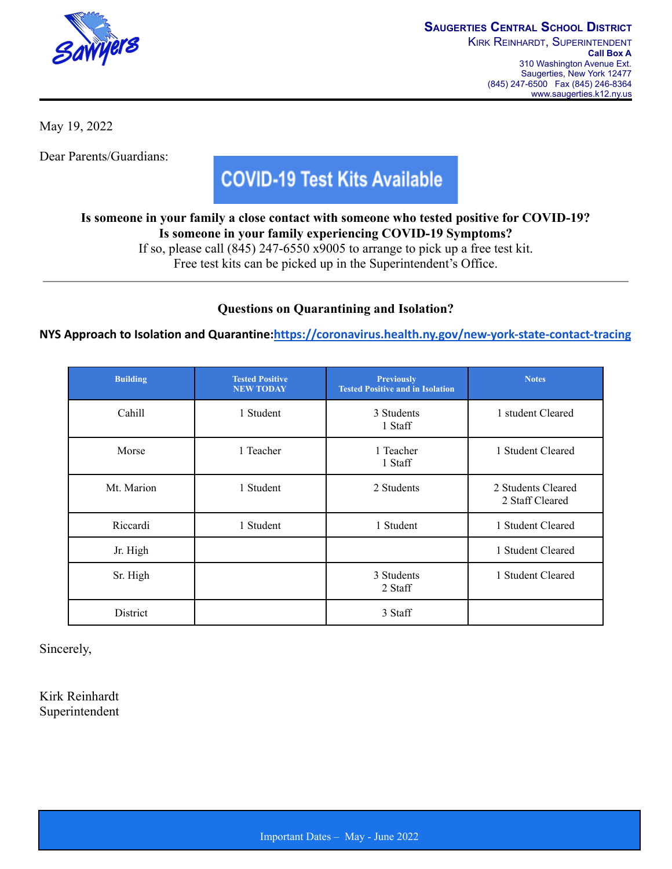

May 19, 2022

Dear Parents/Guardians:

## **COVID-19 Test Kits Available**

**Is someone in your family a close contact with someone who tested positive for COVID-19? Is someone in your family experiencing COVID-19 Symptoms?**

If so, please call (845) 247-6550 x9005 to arrange to pick up a free test kit.

Free test kits can be picked up in the Superintendent's Office.

## **Questions on Quarantining and Isolation?**

**NYS Approach to Isolation and Quarantine:<https://coronavirus.health.ny.gov/new-york-state-contact-tracing>**

| <b>Building</b> | <b>Tested Positive</b><br><b>NEW TODAY</b> | <b>Previously</b><br><b>Tested Positive and in Isolation</b> | <b>Notes</b>                          |
|-----------------|--------------------------------------------|--------------------------------------------------------------|---------------------------------------|
| Cahill          | 1 Student                                  | 3 Students<br>1 Staff                                        | 1 student Cleared                     |
| Morse           | 1 Teacher                                  | 1 Teacher<br>1 Staff                                         | 1 Student Cleared                     |
| Mt. Marion      | 1 Student                                  | 2 Students                                                   | 2 Students Cleared<br>2 Staff Cleared |
| Riccardi        | 1 Student                                  | 1 Student                                                    | 1 Student Cleared                     |
| Jr. High        |                                            |                                                              | 1 Student Cleared                     |
| Sr. High        |                                            | 3 Students<br>2 Staff                                        | 1 Student Cleared                     |
| District        |                                            | 3 Staff                                                      |                                       |

Sincerely,

Kirk Reinhardt Superintendent